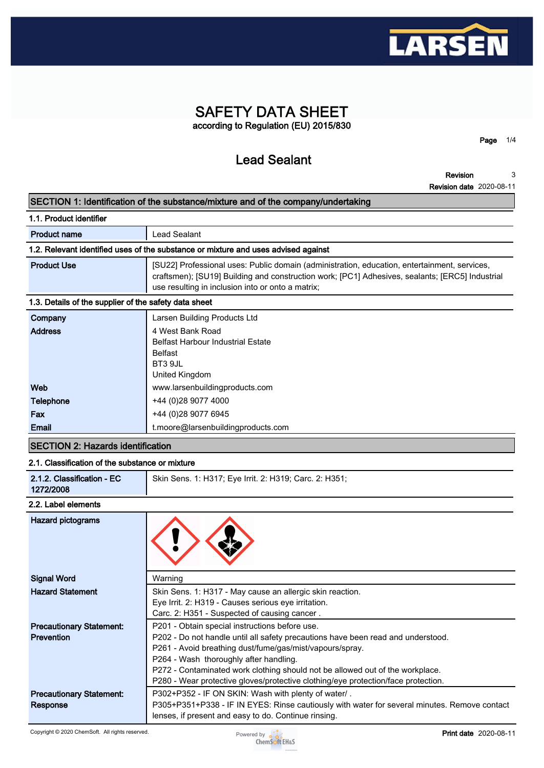

# **SAFETY DATA SHEET according to Regulation (EU) 2015/830**

**Lead Sealant**

**Page 1/4**

**Revision Revision date 2020-08-11 3**

### **SECTION 1: Identification of the substance/mixture and of the company/undertaking**

**1.1. Product identifier**

|  | Lead Sealant<br><b>Product name</b> |  |
|--|-------------------------------------|--|
|--|-------------------------------------|--|

# **1.2. Relevant identified uses of the substance or mixture and uses advised against**

| <b>Product Use</b> | [SU22] Professional uses: Public domain (administration, education, entertainment, services,<br>craftsmen); [SU19] Building and construction work; [PC1] Adhesives, sealants; [ERC5] Industrial<br>use resulting in inclusion into or onto a matrix; |
|--------------------|------------------------------------------------------------------------------------------------------------------------------------------------------------------------------------------------------------------------------------------------------|
|--------------------|------------------------------------------------------------------------------------------------------------------------------------------------------------------------------------------------------------------------------------------------------|

# **1.3. Details of the supplier of the safety data sheet**

| Company        | Larsen Building Products Ltd             |
|----------------|------------------------------------------|
| <b>Address</b> | 4 West Bank Road                         |
|                | <b>Belfast Harbour Industrial Estate</b> |
|                | Belfast                                  |
|                | BT3 9JL                                  |
|                | United Kingdom                           |
| Web            | www.larsenbuildingproducts.com           |
| Telephone      | +44 (0)28 9077 4000                      |
| Fax            | +44 (0) 28 9077 6945                     |
| Email          | t.moore@larsenbuildingproducts.com       |
|                |                                          |

# **SECTION 2: Hazards identification**

# **2.1. Classification of the substance or mixture**

| 2.1.2. Classification - EC<br>Skin Sens. 1: H317; Eye Irrit. 2: H319; Carc. 2: H351;<br>1272/2008 |
|---------------------------------------------------------------------------------------------------|
|---------------------------------------------------------------------------------------------------|

### **2.2. Label elements**

| Hazard pictograms               |                                                                                              |
|---------------------------------|----------------------------------------------------------------------------------------------|
| <b>Signal Word</b>              | Warning                                                                                      |
| <b>Hazard Statement</b>         | Skin Sens. 1: H317 - May cause an allergic skin reaction.                                    |
|                                 | Eye Irrit. 2: H319 - Causes serious eye irritation.                                          |
|                                 | Carc. 2: H351 - Suspected of causing cancer.                                                 |
| <b>Precautionary Statement:</b> | P201 - Obtain special instructions before use.                                               |
| <b>Prevention</b>               | P202 - Do not handle until all safety precautions have been read and understood.             |
|                                 | P261 - Avoid breathing dust/fume/gas/mist/vapours/spray.                                     |
|                                 | P264 - Wash thoroughly after handling.                                                       |
|                                 | P272 - Contaminated work clothing should not be allowed out of the workplace.                |
|                                 | P280 - Wear protective gloves/protective clothing/eye protection/face protection.            |
| <b>Precautionary Statement:</b> | P302+P352 - IF ON SKIN: Wash with plenty of water/.                                          |
| Response                        | P305+P351+P338 - IF IN EYES: Rinse cautiously with water for several minutes. Remove contact |
|                                 | lenses, if present and easy to do. Continue rinsing.                                         |

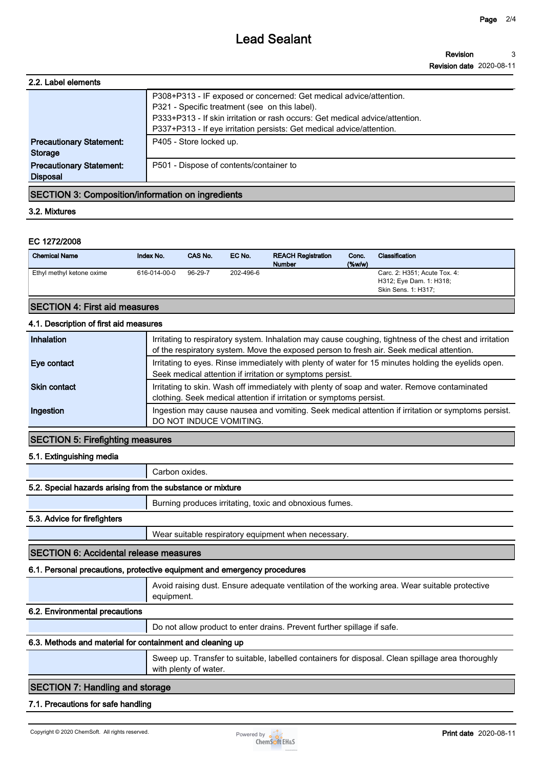# **Lead Sealant**

| 2.2. Label elements                                |                                                                                                                                                                                                                                                                               |
|----------------------------------------------------|-------------------------------------------------------------------------------------------------------------------------------------------------------------------------------------------------------------------------------------------------------------------------------|
|                                                    | P308+P313 - IF exposed or concerned: Get medical advice/attention.<br>P321 - Specific treatment (see on this label).<br>P333+P313 - If skin irritation or rash occurs: Get medical advice/attention.<br>P337+P313 - If eye irritation persists: Get medical advice/attention. |
| <b>Precautionary Statement:</b><br><b>Storage</b>  | P405 - Store locked up.                                                                                                                                                                                                                                                       |
| <b>Precautionary Statement:</b><br><b>Disposal</b> | P501 - Dispose of contents/container to                                                                                                                                                                                                                                       |
|                                                    |                                                                                                                                                                                                                                                                               |

# **SECTION 3: Composition/information on ingredients**

### **3.2. Mixtures**

### **EC 1272/2008**

| <b>Chemical Name</b>                 | Index No.    | CAS No. | EC No.    | <b>REACH Registration</b><br><b>Number</b> | Conc.<br>$(\%w/w)$ | Classification                                                                 |
|--------------------------------------|--------------|---------|-----------|--------------------------------------------|--------------------|--------------------------------------------------------------------------------|
| Ethyl methyl ketone oxime            | 616-014-00-0 | 96-29-7 | 202-496-6 |                                            |                    | Carc. 2: H351; Acute Tox. 4:<br>H312; Eye Dam. 1: H318;<br>Skin Sens. 1: H317; |
| <b>SECTION 4: First aid measures</b> |              |         |           |                                            |                    |                                                                                |

# **4.1. Description of first aid measures**

| Inhalation   | Irritating to respiratory system. Inhalation may cause coughing, tightness of the chest and irritation                        |
|--------------|-------------------------------------------------------------------------------------------------------------------------------|
|              | of the respiratory system. Move the exposed person to fresh air. Seek medical attention.                                      |
| Eye contact  | Irritating to eyes. Rinse immediately with plenty of water for 15 minutes holding the eyelids open.                           |
|              | Seek medical attention if irritation or symptoms persist.                                                                     |
| Skin contact | Irritating to skin. Wash off immediately with plenty of soap and water. Remove contaminated                                   |
|              | clothing. Seek medical attention if irritation or symptoms persist.                                                           |
| Ingestion    | Ingestion may cause nausea and vomiting. Seek medical attention if irritation or symptoms persist.<br>DO NOT INDUCE VOMITING. |

# **SECTION 5: Firefighting measures**

### **5.1. Extinguishing media**

**Carbon oxides.**

## **5.2. Special hazards arising from the substance or mixture**

**Burning produces irritating, toxic and obnoxious fumes.**

### **5.3. Advice for firefighters**

**Wear suitable respiratory equipment when necessary.**

### **SECTION 6: Accidental release measures**

## **6.1. Personal precautions, protective equipment and emergency procedures**

|                                                           | Avoid raising dust. Ensure adequate ventilation of the working area. Wear suitable protective<br>equipment.               |  |
|-----------------------------------------------------------|---------------------------------------------------------------------------------------------------------------------------|--|
| 6.2. Environmental precautions                            |                                                                                                                           |  |
|                                                           | Do not allow product to enter drains. Prevent further spillage if safe.                                                   |  |
| 6.3. Methods and material for containment and cleaning up |                                                                                                                           |  |
|                                                           | Sweep up. Transfer to suitable, labelled containers for disposal. Clean spillage area thoroughly<br>with plenty of water. |  |
|                                                           |                                                                                                                           |  |

# **SECTION 7: Handling and storage**

### **7.1. Precautions for safe handling**

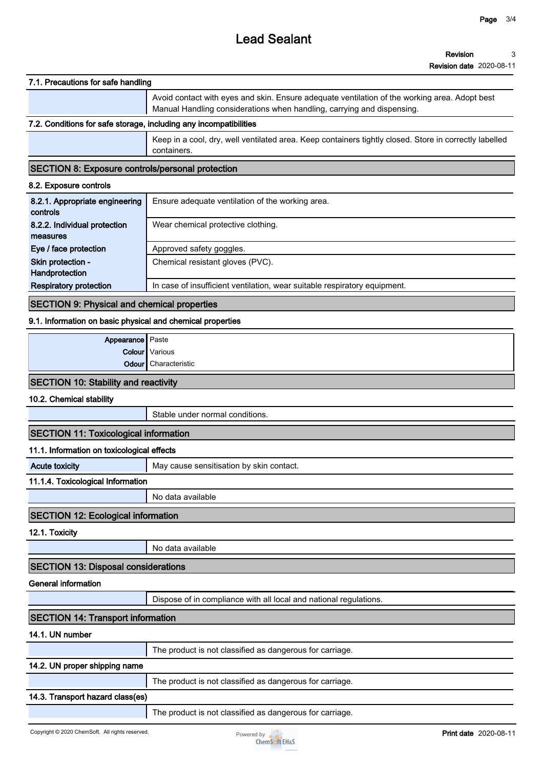# **Lead Sealant**

### **7.1. Precautions for safe handling**

**Avoid contact with eyes and skin. Ensure adequate ventilation of the working area. Adopt best Manual Handling considerations when handling, carrying and dispensing.**

# **7.2. Conditions for safe storage, including any incompatibilities**

**Keep in a cool, dry, well ventilated area. Keep containers tightly closed. Store in correctly labelled containers.**

### **SECTION 8: Exposure controls/personal protection**

#### **8.2. Exposure controls**

| 8.2.1. Appropriate engineering<br>controls | Ensure adequate ventilation of the working area.                          |
|--------------------------------------------|---------------------------------------------------------------------------|
| 8.2.2. Individual protection               | Wear chemical protective clothing.                                        |
| measures                                   |                                                                           |
| Eye / face protection                      | Approved safety goggles.                                                  |
| Skin protection -                          | Chemical resistant gloves (PVC).                                          |
| Handprotection                             |                                                                           |
| <b>Respiratory protection</b>              | In case of insufficient ventilation, wear suitable respiratory equipment. |

### **SECTION 9: Physical and chemical properties**

### **9.1. Information on basic physical and chemical properties**

| <b>Appearance</b> Paste |                             |
|-------------------------|-----------------------------|
|                         | <b>Colour</b> Various       |
|                         | <b>Odour</b> Characteristic |
|                         |                             |

### **SECTION 10: Stability and reactivity**

**10.2. Chemical stability**

**Stable under normal conditions.**

### **SECTION 11: Toxicological information**

#### **11.1. Information on toxicological effects**

**Acute toxicity May cause sensitisation by skin contact.** 

### **11.1.4. Toxicological Information**

**No data available**

### **SECTION 12: Ecological information**

**12.1. Toxicity**

**No data available**

### **SECTION 13: Disposal considerations**

#### **General information**

**Dispose of in compliance with all local and national regulations.**

# **SECTION 14: Transport information**

**14.1. UN number**

**The product is not classified as dangerous for carriage.**

## **14.2. UN proper shipping name**

**The product is not classified as dangerous for carriage.**

### **14.3. Transport hazard class(es)**

**The product is not classified as dangerous for carriage.**